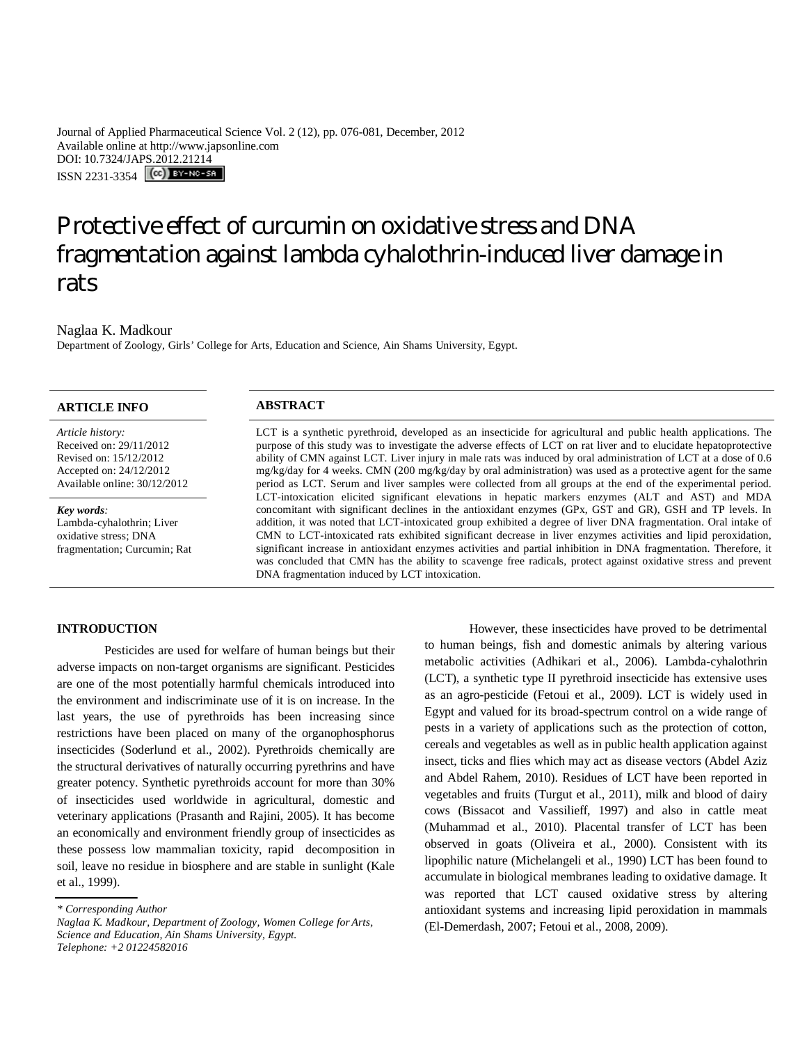Journal of Applied Pharmaceutical Science Vol. 2 (12), pp. 076-081, December, 2012 Available online at http://www.japsonline.com DOI: 10.7324/JAPS.2012.21214 ISSN 2231-3354 (CC) BY-NO-SA

# Protective effect of curcumin on oxidative stress and DNA fragmentation against lambda cyhalothrin-induced liver damage in rats

Naglaa K. Madkour

Department of Zoology, Girls' College for Arts, Education and Science, Ain Shams University, Egypt.

# **ARTICLE INFO ABSTRACT**

*Article history:* Received on: 29/11/2012 Revised on: 15/12/2012 Accepted on: 24/12/2012 Available online: 30/12/2012

*Key words:*  Lambda-cyhalothrin; Liver oxidative stress; DNA fragmentation; Curcumin; Rat

LCT is a synthetic pyrethroid, developed as an insecticide for agricultural and public health applications. The purpose of this study was to investigate the adverse effects of LCT on rat liver and to elucidate hepatoprotective ability of CMN against LCT. Liver injury in male rats was induced by oral administration of LCT at a dose of 0.6 mg/kg/day for 4 weeks. CMN (200 mg/kg/day by oral administration) was used as a protective agent for the same period as LCT. Serum and liver samples were collected from all groups at the end of the experimental period. LCT-intoxication elicited significant elevations in hepatic markers enzymes (ALT and AST) and MDA concomitant with significant declines in the antioxidant enzymes (GPx, GST and GR), GSH and TP levels. In addition, it was noted that LCT-intoxicated group exhibited a degree of liver DNA fragmentation. Oral intake of CMN to LCT-intoxicated rats exhibited significant decrease in liver enzymes activities and lipid peroxidation, significant increase in antioxidant enzymes activities and partial inhibition in DNA fragmentation. Therefore, it was concluded that CMN has the ability to scavenge free radicals, protect against oxidative stress and prevent DNA fragmentation induced by LCT intoxication.

#### **INTRODUCTION**

Pesticides are used for welfare of human beings but their adverse impacts on non-target organisms are significant. Pesticides are one of the most potentially harmful chemicals introduced into the environment and indiscriminate use of it is on increase. In the last years, the use of pyrethroids has been increasing since restrictions have been placed on many of the organophosphorus insecticides (Soderlund et al., 2002). Pyrethroids chemically are the structural derivatives of naturally occurring pyrethrins and have greater potency. Synthetic pyrethroids account for more than 30% of insecticides used worldwide in agricultural, domestic and veterinary applications (Prasanth and Rajini, 2005). It has become an economically and environment friendly group of insecticides as these possess low mammalian toxicity, rapid decomposition in soil, leave no residue in biosphere and are stable in sunlight (Kale et al., 1999).

However, these insecticides have proved to be detrimental to human beings, fish and domestic animals by altering various metabolic activities (Adhikari et al., 2006). Lambda-cyhalothrin (LCT), a synthetic type II pyrethroid insecticide has extensive uses as an agro-pesticide (Fetoui et al., 2009). LCT is widely used in Egypt and valued for its broad-spectrum control on a wide range of pests in a variety of applications such as the protection of cotton, cereals and vegetables as well as in public health application against insect, ticks and flies which may act as disease vectors (Abdel Aziz and Abdel Rahem, 2010). Residues of LCT have been reported in vegetables and fruits (Turgut et al., 2011), milk and blood of dairy cows (Bissacot and Vassilieff, 1997) and also in cattle meat (Muhammad et al., 2010). Placental transfer of LCT has been observed in goats (Oliveira et al., 2000). Consistent with its lipophilic nature (Michelangeli et al., 1990) LCT has been found to accumulate in biological membranes leading to oxidative damage. It was reported that LCT caused oxidative stress by altering antioxidant systems and increasing lipid peroxidation in mammals (El-Demerdash, 2007; Fetoui et al., 2008, 2009).

*<sup>\*</sup> Corresponding Author*

*Naglaa K. Madkour, Department of Zoology, Women College for Arts, Science and Education, Ain Shams University, Egypt. Telephone: +2 01224582016*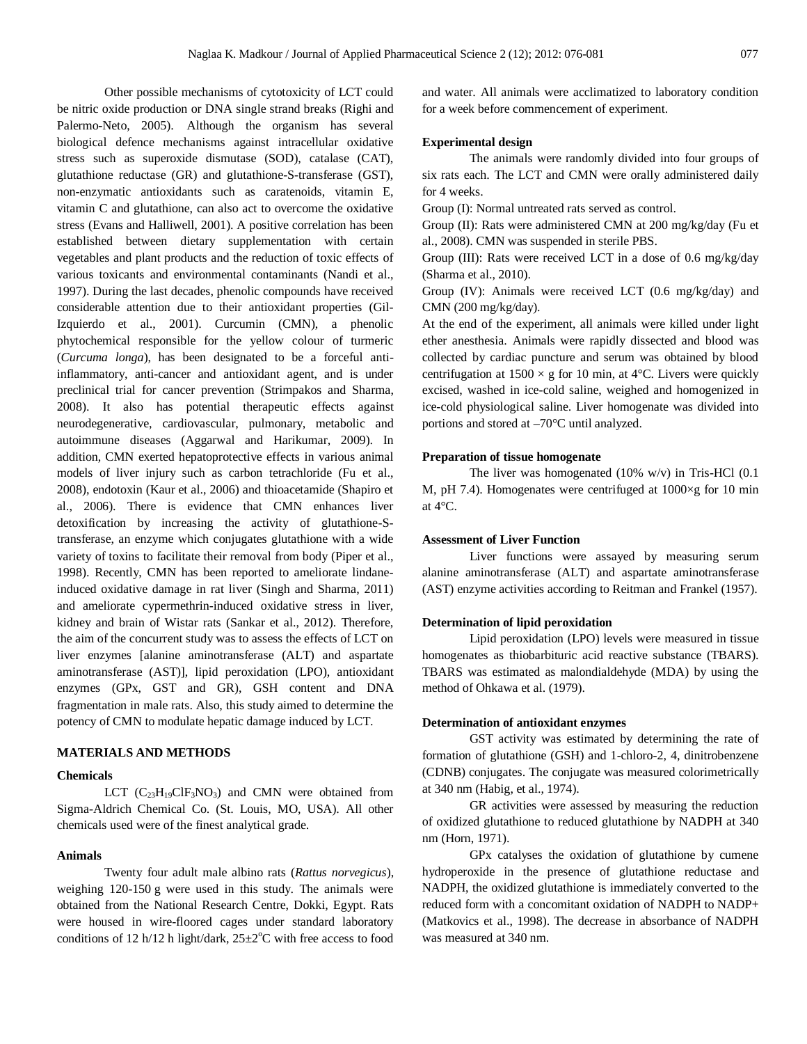Other possible mechanisms of cytotoxicity of LCT could be nitric oxide production or DNA single strand breaks (Righi and Palermo-Neto, 2005). Although the organism has several biological defence mechanisms against intracellular oxidative stress such as superoxide dismutase (SOD), catalase (CAT), glutathione reductase (GR) and glutathione-S-transferase (GST), non-enzymatic antioxidants such as caratenoids, vitamin E, vitamin C and glutathione, can also act to overcome the oxidative stress (Evans and Halliwell, 2001). A positive correlation has been established between dietary supplementation with certain vegetables and plant products and the reduction of toxic effects of various toxicants and environmental contaminants (Nandi et al., 1997). During the last decades, phenolic compounds have received considerable attention due to their antioxidant properties (Gil-Izquierdo et al., 2001). Curcumin (CMN), a phenolic phytochemical responsible for the yellow colour of turmeric (*Curcuma longa*), has been designated to be a forceful antiinflammatory, anti-cancer and antioxidant agent, and is under preclinical trial for cancer prevention (Strimpakos and Sharma, 2008). It also has potential therapeutic effects against neurodegenerative, cardiovascular, pulmonary, metabolic and autoimmune diseases (Aggarwal and Harikumar, 2009). In addition, CMN exerted hepatoprotective effects in various animal models of liver injury such as carbon tetrachloride (Fu et al., 2008), endotoxin (Kaur et al., 2006) and thioacetamide (Shapiro et al., 2006). There is evidence that CMN enhances liver detoxification by increasing the activity of glutathione-Stransferase, an enzyme which conjugates glutathione with a wide variety of toxins to facilitate their removal from body (Piper et al., 1998). Recently, CMN has been reported to ameliorate lindaneinduced oxidative damage in rat liver (Singh and Sharma, 2011) and ameliorate cypermethrin-induced oxidative stress in liver, kidney and brain of Wistar rats (Sankar et al., 2012). Therefore, the aim of the concurrent study was to assess the effects of LCT on liver enzymes [alanine aminotransferase (ALT) and aspartate aminotransferase (AST)], lipid peroxidation (LPO), antioxidant enzymes (GPx, GST and GR), GSH content and DNA fragmentation in male rats. Also, this study aimed to determine the potency of CMN to modulate hepatic damage induced by LCT.

#### **MATERIALS AND METHODS**

#### **Chemicals**

LCT  $(C_{23}H_{19}CIF_3NO_3)$  and CMN were obtained from Sigma-Aldrich Chemical Co. (St. Louis, MO, USA). All other chemicals used were of the finest analytical grade.

## **Animals**

Twenty four adult male albino rats (*Rattus norvegicus*), weighing 120-150 g were used in this study. The animals were obtained from the National Research Centre, Dokki, Egypt. Rats were housed in wire-floored cages under standard laboratory conditions of 12 h/12 h light/dark,  $25\pm2$ °C with free access to food

and water. All animals were acclimatized to laboratory condition for a week before commencement of experiment.

#### **Experimental design**

The animals were randomly divided into four groups of six rats each. The LCT and CMN were orally administered daily for 4 weeks.

Group (I): Normal untreated rats served as control.

Group (II): Rats were administered CMN at 200 mg/kg/day (Fu et al., 2008). CMN was suspended in sterile PBS.

Group (III): Rats were received LCT in a dose of 0.6 mg/kg/day (Sharma et al., 2010).

Group (IV): Animals were received LCT (0.6 mg/kg/day) and CMN (200 mg/kg/day).

At the end of the experiment, all animals were killed under light ether anesthesia. Animals were rapidly dissected and blood was collected by cardiac puncture and serum was obtained by blood centrifugation at  $1500 \times g$  for 10 min, at 4°C. Livers were quickly excised, washed in ice-cold saline, weighed and homogenized in ice-cold physiological saline. Liver homogenate was divided into portions and stored at –70°C until analyzed.

# **Preparation of tissue homogenate**

The liver was homogenated  $(10\% \text{ w/v})$  in Tris-HCl  $(0.1)$ M, pH 7.4). Homogenates were centrifuged at 1000×g for 10 min at  $4^{\circ}$ C.

#### **Assessment of Liver Function**

Liver functions were assayed by measuring serum alanine aminotransferase (ALT) and aspartate aminotransferase (AST) enzyme activities according to Reitman and Frankel (1957).

#### **Determination of lipid peroxidation**

Lipid peroxidation (LPO) levels were measured in tissue homogenates as thiobarbituric acid reactive substance (TBARS). TBARS was estimated as malondialdehyde (MDA) by using the method of Ohkawa et al. (1979).

#### **Determination of antioxidant enzymes**

GST activity was estimated by determining the rate of formation of glutathione (GSH) and 1-chloro-2, 4, dinitrobenzene (CDNB) conjugates. The conjugate was measured colorimetrically at 340 nm (Habig, et al., 1974).

GR activities were assessed by measuring the reduction of oxidized glutathione to reduced glutathione by NADPH at 340 nm (Horn, 1971).

GPx catalyses the oxidation of glutathione by cumene hydroperoxide in the presence of glutathione reductase and NADPH, the oxidized glutathione is immediately converted to the reduced form with a concomitant oxidation of NADPH to NADP+ (Matkovics et al., 1998). The decrease in absorbance of NADPH was measured at 340 nm.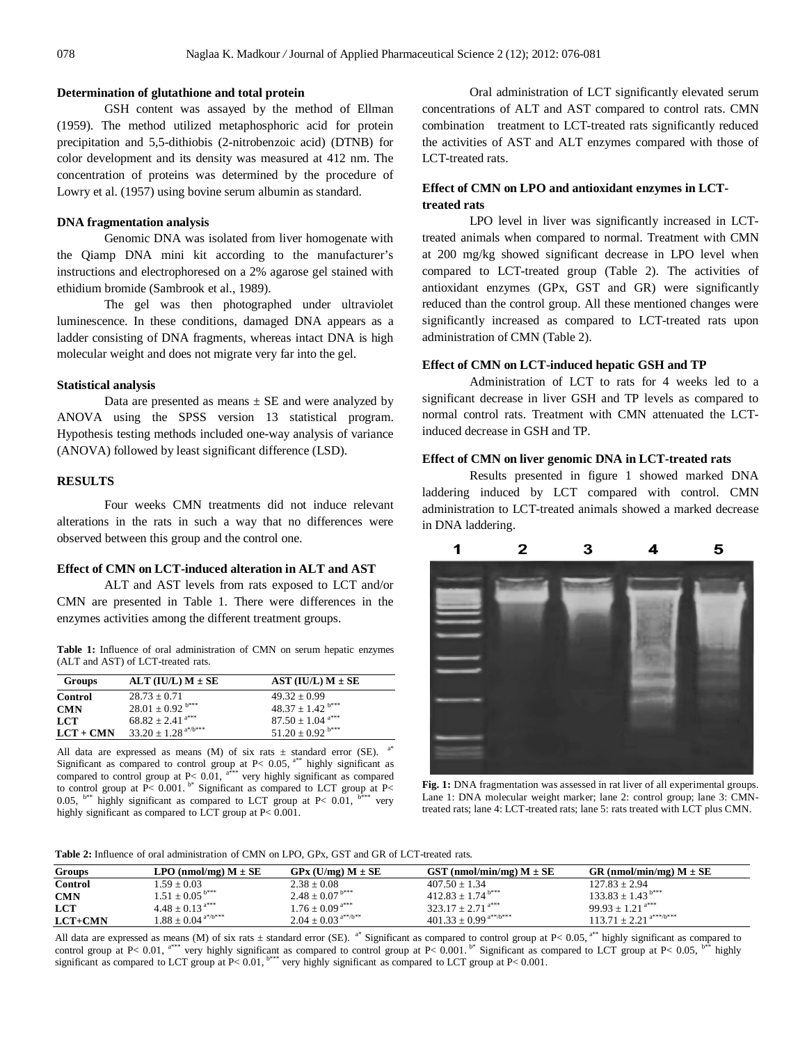#### **Determination of glutathione and total protein**

GSH content was assayed by the method of Ellman (1959). The method utilized metaphosphoric acid for protein precipitation and 5,5-dithiobis (2-nitrobenzoic acid) (DTNB) for color development and its density was measured at 412 nm. The concentration of proteins was determined by the procedure of Lowry et al. (1957) using bovine serum albumin as standard.

#### **DNA fragmentation analysis**

Genomic DNA was isolated from liver homogenate with the Qiamp DNA mini kit according to the manufacturer's instructions and electrophoresed on a 2% agarose gel stained with ethidium bromide (Sambrook et al., 1989).

The gel was then photographed under ultraviolet luminescence. In these conditions, damaged DNA appears as a ladder consisting of DNA fragments, whereas intact DNA is high molecular weight and does not migrate very far into the gel.

#### **Statistical analysis**

Data are presented as means  $\pm$  SE and were analyzed by ANOVA using the SPSS version 13 statistical program. Hypothesis testing methods included one-way analysis of variance (ANOVA) followed by least significant difference (LSD).

### **RESULTS**

Four weeks CMN treatments did not induce relevant alterations in the rats in such a way that no differences were observed between this group and the control one.

# **Effect of CMN on LCT-induced alteration in ALT and AST**

ALT and AST levels from rats exposed to LCT and/or CMN are presented in Table 1. There were differences in the enzymes activities among the different treatment groups.

**Table 1:** Influence of oral administration of CMN on serum hepatic enzymes (ALT and AST) of LCT-treated rats.

| Groups      | ALT (IU/L) $M \pm SE$               | AST (IU/L) $M \pm SE$            |
|-------------|-------------------------------------|----------------------------------|
| Control     | $28.73 + 0.71$                      | $49.32 \pm 0.99$                 |
| <b>CMN</b>  | $28.01 \pm 0.92$ <sup>b***</sup>    | $48.37 \pm 1.42$ <sup>b***</sup> |
| LCT         | $68.82 \pm 2.41$ <sup>a***</sup>    | $87.50 \pm 1.04$ <sup>a***</sup> |
| $LCT + CMN$ | $33.20 \pm 1.28$ <sup>a*/b***</sup> | $51.20 \pm 0.92$ <sup>b***</sup> |

All data are expressed as means (M) of six rats  $\pm$  standard error (SE). Significant as compared to control group at P< 0.05,  $a^{**}$  highly significant as compared to control group at  $P < 0.01$ ,  $a^{***}$  very highly significant as compared to control group at  $P < 0.001$ .  $b^*$  Significant as compared to LCT group at  $P <$ 0.05,  $b^{**}$  highly significant as compared to LCT group at P< 0.01,  $b^{***}$  very highly significant as compared to LCT group at P< 0.001.

Oral administration of LCT significantly elevated serum concentrations of ALT and AST compared to control rats. CMN combination treatment to LCT-treated rats significantly reduced the activities of AST and ALT enzymes compared with those of LCT-treated rats.

# **Effect of CMN on LPO and antioxidant enzymes in LCTtreated rats**

LPO level in liver was significantly increased in LCTtreated animals when compared to normal. Treatment with CMN at 200 mg/kg showed significant decrease in LPO level when compared to LCT-treated group (Table 2). The activities of antioxidant enzymes (GPx, GST and GR) were significantly reduced than the control group. All these mentioned changes were significantly increased as compared to LCT-treated rats upon administration of CMN (Table 2).

#### **Effect of CMN on LCT-induced hepatic GSH and TP**

Administration of LCT to rats for 4 weeks led to a significant decrease in liver GSH and TP levels as compared to normal control rats. Treatment with CMN attenuated the LCTinduced decrease in GSH and TP.

#### **Effect of CMN on liver genomic DNA in LCT-treated rats**

Results presented in figure 1 showed marked DNA laddering induced by LCT compared with control. CMN administration to LCT-treated animals showed a marked decrease in DNA laddering.



Fig. 1: DNA fragmentation was assessed in rat liver of all experimental groups. Lane 1: DNA molecular weight marker; lane 2: control group; lane 3: CMNtreated rats; lane 4: LCT-treated rats; lane 5: rats treated with LCT plus CMN.

**Table 2:** Influence of oral administration of CMN on LPO, GPx, GST and GR of LCT-treated rats.

| Groups     | LPO (nmol/mg) $M \pm SE$         | $GPx$ (U/mg) $M \pm SE$         | GST (nmol/min/mg) $M \pm SE$          | GR (nmol/min/mg) $M \pm SE$    |
|------------|----------------------------------|---------------------------------|---------------------------------------|--------------------------------|
| Control    | $1.59 + 0.03$                    | $2.38 \pm 0.08$                 | $407.50 + 1.34$                       | $127.83 \pm 2.94$              |
| <b>CMN</b> | $1.51 \pm 0.05^{b***}$           | $2.48 \pm 0.07$ <sup>b***</sup> | $412.83 + 1.74$ <sup>b***</sup>       | $133.83 \pm 1.43^{b***}$       |
| <b>LCT</b> | $4.48 \pm 0.13$ <sup>a***</sup>  | $1.76 \pm 0.09$ <sup>a***</sup> | $323.17 + 2.71$ <sup>a***</sup>       | $99.93 + 1.21$ <sup>a***</sup> |
| $LCT+CMN$  | $1.88 + 0.04$ <sup>a*/b***</sup> | $2.04 \pm 0.03^{a**/b**}$       | $401.33 \pm 0.99$ <sup>a**/b***</sup> | $113.71 \pm 2.21^{a***/b***}$  |

All data are expressed as means (M) of six rats  $\pm$  standard error (SE). <sup>a\*</sup> Significant as compared to control group at P< 0.05, <sup>a\*\*</sup> highly significant as compared to control group at P< 0.01,  $a^{***}$  very highly significant as compared to control group at P< 0.001. <sup>b\*</sup> Significant as compared to LCT group at P< 0.05,  $b^{**}$  highly significant as compared to LCT group at  $P< 0.01$ ,  $b***$  very highly significant as compared to LCT group at P< 0.001.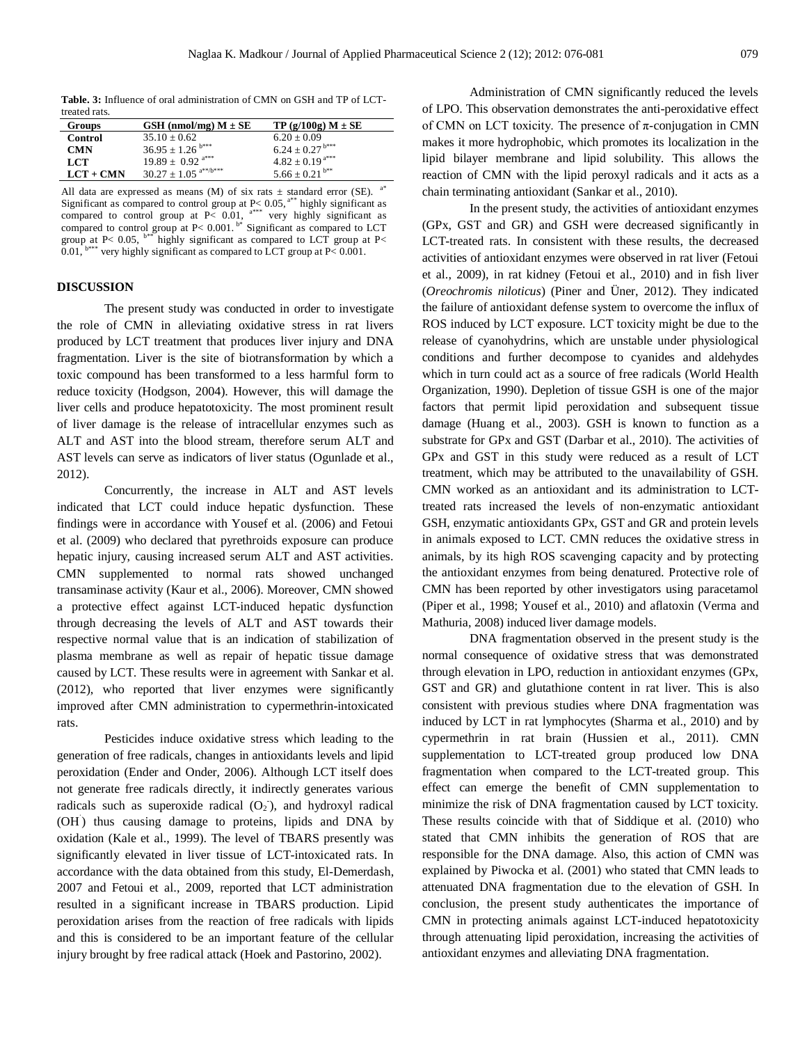**Table. 3:** Influence of oral administration of CMN on GSH and TP of LCTtreated rats.

| $\sim$ 0.000 $\sim$ 0.000 $\sim$ |                                      |                                 |
|----------------------------------|--------------------------------------|---------------------------------|
| Groups                           | GSH (nmol/mg) $M \pm SE$             | $TP(g/100g) M \pm SE$           |
| Control                          | $35.10 \pm 0.62$                     | $6.20 \pm 0.09$                 |
| <b>CMN</b>                       | $36.95 \pm 1.26$ <sup>b***</sup>     | $6.24 \pm 0.27$ <sup>b***</sup> |
| LCT                              | $19.89 \pm 0.92$ <sup>a***</sup>     | $4.82 \pm 0.19$ <sup>a***</sup> |
| $LCT + CMN$                      | $30.27 \pm 1.05$ <sup>a**/b***</sup> | $5.66 \pm 0.21$ <sup>b**</sup>  |

All data are expressed as means (M) of six rats  $\pm$  standard error (SE). a\* Significant as compared to control group at  $P < 0.05$ ,  $a^{**}$  highly significant as compared to control group at  $P$ < 0.01, <sup>a\*\*\*</sup> very highly significant as compared to control group at  $P < 0.001$ . <sup>b\*</sup> Significant as compared to LCT group at P< 0.05,  $b^{**}$  highly significant as compared to LCT group at P< 0.01,  $b***$  very highly significant as compared to LCT group at P< 0.001.

### **DISCUSSION**

The present study was conducted in order to investigate the role of CMN in alleviating oxidative stress in rat livers produced by LCT treatment that produces liver injury and DNA fragmentation. Liver is the site of biotransformation by which a toxic compound has been transformed to a less harmful form to reduce toxicity (Hodgson, 2004). However, this will damage the liver cells and produce hepatotoxicity. The most prominent result of liver damage is the release of intracellular enzymes such as ALT and AST into the blood stream, therefore serum ALT and AST levels can serve as indicators of liver status (Ogunlade et al., 2012).

Concurrently, the increase in ALT and AST levels indicated that LCT could induce hepatic dysfunction. These findings were in accordance with Yousef et al. (2006) and Fetoui et al. (2009) who declared that pyrethroids exposure can produce hepatic injury, causing increased serum ALT and AST activities. CMN supplemented to normal rats showed unchanged transaminase activity (Kaur et al., 2006). Moreover, CMN showed a protective effect against LCT-induced hepatic dysfunction through decreasing the levels of ALT and AST towards their respective normal value that is an indication of stabilization of plasma membrane as well as repair of hepatic tissue damage caused by LCT. These results were in agreement with Sankar et al. (2012), who reported that liver enzymes were significantly improved after CMN administration to cypermethrin-intoxicated rats.

Pesticides induce oxidative stress which leading to the generation of free radicals, changes in antioxidants levels and lipid peroxidation (Ender and Onder, 2006). Although LCT itself does not generate free radicals directly, it indirectly generates various radicals such as superoxide radical  $(O_2)$ , and hydroxyl radical (OH˙ ) thus causing damage to proteins, lipids and DNA by oxidation (Kale et al., 1999). The level of TBARS presently was significantly elevated in liver tissue of LCT-intoxicated rats. In accordance with the data obtained from this study, El-Demerdash, 2007 and Fetoui et al., 2009, reported that LCT administration resulted in a significant increase in TBARS production. Lipid peroxidation arises from the reaction of free radicals with lipids and this is considered to be an important feature of the cellular injury brought by free radical attack (Hoek and Pastorino, 2002).

Administration of CMN significantly reduced the levels of LPO. This observation demonstrates the anti-peroxidative effect of CMN on LCT toxicity. The presence of  $\pi$ -conjugation in CMN makes it more hydrophobic, which promotes its localization in the lipid bilayer membrane and lipid solubility. This allows the reaction of CMN with the lipid peroxyl radicals and it acts as a chain terminating antioxidant (Sankar et al., 2010).

In the present study, the activities of antioxidant enzymes (GPx, GST and GR) and GSH were decreased significantly in LCT-treated rats. In consistent with these results, the decreased activities of antioxidant enzymes were observed in rat liver (Fetoui et al., 2009), in rat kidney (Fetoui et al., 2010) and in fish liver (*Oreochromis niloticus*) (Piner and Üner, 2012). They indicated the failure of antioxidant defense system to overcome the influx of ROS induced by LCT exposure. LCT toxicity might be due to the release of cyanohydrins, which are unstable under physiological conditions and further decompose to cyanides and aldehydes which in turn could act as a source of free radicals (World Health Organization, 1990). Depletion of tissue GSH is one of the major factors that permit lipid peroxidation and subsequent tissue damage (Huang et al., 2003). GSH is known to function as a substrate for GPx and GST (Darbar et al., 2010). The activities of GPx and GST in this study were reduced as a result of LCT treatment, which may be attributed to the unavailability of GSH. CMN worked as an antioxidant and its administration to LCTtreated rats increased the levels of non-enzymatic antioxidant GSH, enzymatic antioxidants GPx, GST and GR and protein levels in animals exposed to LCT. CMN reduces the oxidative stress in animals, by its high ROS scavenging capacity and by protecting the antioxidant enzymes from being denatured. Protective role of CMN has been reported by other investigators using paracetamol (Piper et al., 1998; Yousef et al., 2010) and aflatoxin (Verma and Mathuria, 2008) induced liver damage models.

DNA fragmentation observed in the present study is the normal consequence of oxidative stress that was demonstrated through elevation in LPO, reduction in antioxidant enzymes (GPx, GST and GR) and glutathione content in rat liver. This is also consistent with previous studies where DNA fragmentation was induced by LCT in rat lymphocytes (Sharma et al., 2010) and by cypermethrin in rat brain (Hussien et al., 2011). CMN supplementation to LCT-treated group produced low DNA fragmentation when compared to the LCT-treated group. This effect can emerge the benefit of CMN supplementation to minimize the risk of DNA fragmentation caused by LCT toxicity. These results coincide with that of Siddique et al. (2010) who stated that CMN inhibits the generation of ROS that are responsible for the DNA damage. Also, this action of CMN was explained by Piwocka et al. (2001) who stated that CMN leads to attenuated DNA fragmentation due to the elevation of GSH. In conclusion, the present study authenticates the importance of CMN in protecting animals against LCT-induced hepatotoxicity through attenuating lipid peroxidation, increasing the activities of antioxidant enzymes and alleviating DNA fragmentation.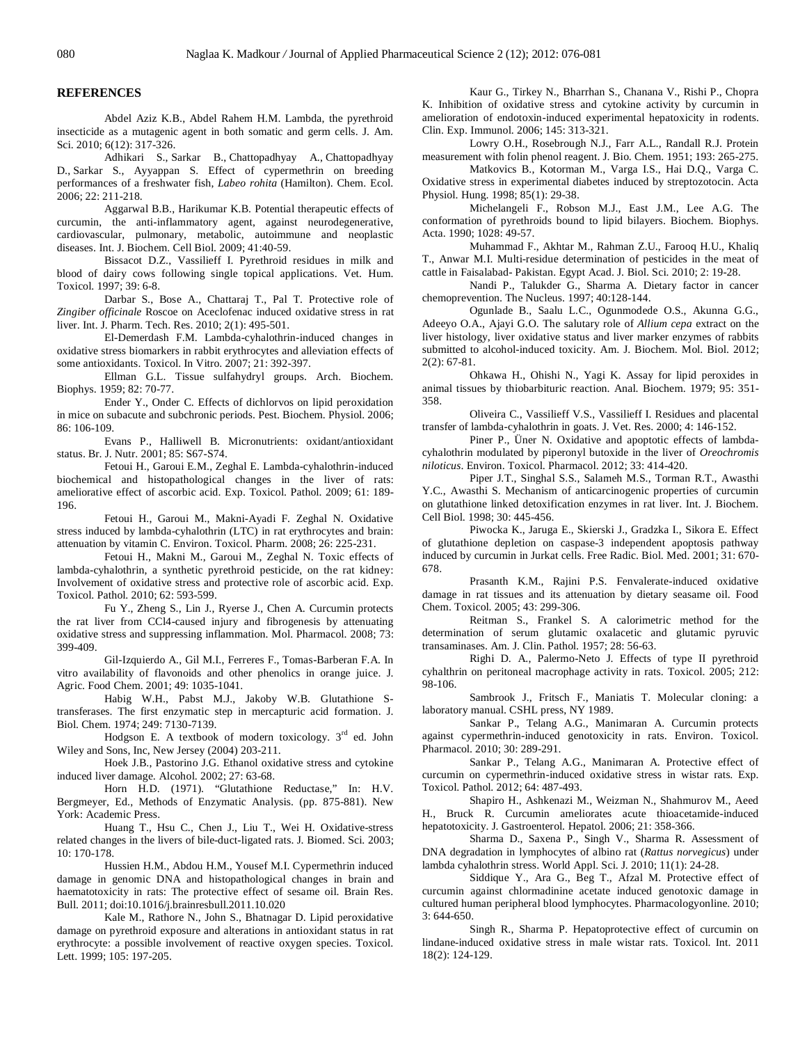#### **REFERENCES**

Abdel Aziz K.B., Abdel Rahem H.M. Lambda, the pyrethroid insecticide as a mutagenic agent in both somatic and germ cells. J. Am. Sci. 2010; 6(12): 317-326.

Adhikari S., Sarkar B., Chattopadhyay A., Chattopadhyay D., Sarkar S., Ayyappan S. Effect of cypermethrin on breeding performances of a freshwater fish, *Labeo rohita* (Hamilton). Chem. Ecol. 2006; 22: 211-218.

Aggarwal B.B., Harikumar K.B. Potential therapeutic effects of curcumin, the anti-inflammatory agent, against neurodegenerative, cardiovascular, pulmonary, metabolic, autoimmune and neoplastic diseases. Int. J. Biochem. Cell Biol. 2009; 41:40-59.

Bissacot D.Z., Vassilieff I. Pyrethroid residues in milk and blood of dairy cows following single topical applications. Vet. Hum. Toxicol. 1997; 39: 6-8.

Darbar S., Bose A., Chattaraj T., Pal T. Protective role of *Zingiber officinale* Roscoe on Aceclofenac induced oxidative stress in rat liver. Int. J. Pharm. Tech. Res. 2010; 2(1): 495-501.

El-Demerdash F.M. Lambda-cyhalothrin-induced changes in oxidative stress biomarkers in rabbit erythrocytes and alleviation effects of some antioxidants. Toxicol. In Vitro. 2007; 21: 392-397.

Ellman G.L. Tissue sulfahydryl groups. Arch. Biochem. Biophys. 1959; 82: 70-77.

Ender Y., Onder C. Effects of dichlorvos on lipid peroxidation in mice on subacute and subchronic periods. Pest. Biochem. Physiol. 2006; 86: 106-109.

Evans P., Halliwell B. Micronutrients: oxidant/antioxidant status. Br. J. Nutr. 2001; 85: S67-S74.

Fetoui H., Garoui E.M., Zeghal E. Lambda-cyhalothrin-induced biochemical and histopathological changes in the liver of rats: ameliorative effect of ascorbic acid. Exp. Toxicol. Pathol. 2009; 61: 189- 196.

Fetoui H., Garoui M., Makni-Ayadi F. Zeghal N. Oxidative stress induced by lambda-cyhalothrin (LTC) in rat erythrocytes and brain: attenuation by vitamin C. Environ. Toxicol. Pharm. 2008; 26: 225-231.

Fetoui H., Makni M., Garoui M., Zeghal N. Toxic effects of lambda-cyhalothrin, a synthetic pyrethroid pesticide, on the rat kidney: Involvement of oxidative stress and protective role of ascorbic acid. Exp. Toxicol. Pathol. 2010; 62: 593-599.

Fu Y., Zheng S., Lin J., Ryerse J., Chen A. Curcumin protects the rat liver from CCl4-caused injury and fibrogenesis by attenuating oxidative stress and suppressing inflammation. Mol. Pharmacol. 2008; 73: 399-409.

Gil-Izquierdo A., Gil M.I., Ferreres F., Tomas-Barberan F.A. In vitro availability of flavonoids and other phenolics in orange juice. J. Agric. Food Chem. 2001; 49: 1035-1041.

Habig W.H., Pabst M.J., Jakoby W.B. Glutathione Stransferases. The first enzymatic step in mercapturic acid formation. J. Biol. Chem. 1974; 249: 7130-7139.

Hodgson E. A textbook of modern toxicology. 3<sup>rd</sup> ed. John Wiley and Sons, Inc, New Jersey (2004) 203-211.

Hoek J.B., Pastorino J.G. Ethanol oxidative stress and cytokine induced liver damage. Alcohol. 2002; 27: 63-68.

Horn H.D. (1971). "Glutathione Reductase," In: H.V. Bergmeyer, Ed., Methods of Enzymatic Analysis. (pp. 875-881). New York: Academic Press.

Huang T., Hsu C., Chen J., Liu T., Wei H. Oxidative-stress related changes in the livers of bile-duct-ligated rats. J. Biomed. Sci. 2003; 10: 170-178.

Hussien H.M., Abdou H.M., Yousef M.I. Cypermethrin induced damage in genomic DNA and histopathological changes in brain and haematotoxicity in rats: The protective effect of sesame oil. Brain Res. Bull. 2011; doi:10.1016/j.brainresbull.2011.10.020

Kale M., Rathore N., John S., Bhatnagar D. Lipid peroxidative damage on pyrethroid exposure and alterations in antioxidant status in rat erythrocyte: a possible involvement of reactive oxygen species. Toxicol. Lett. 1999; 105: 197-205.

Kaur G., Tirkey N., Bharrhan S., Chanana V., Rishi P., Chopra K. Inhibition of oxidative stress and cytokine activity by curcumin in amelioration of endotoxin-induced experimental hepatoxicity in rodents. Clin. Exp. Immunol. 2006; 145: 313-321.

Lowry O.H., Rosebrough N.J., Farr A.L., Randall R.J. Protein measurement with folin phenol reagent. J. Bio. Chem. 1951; 193: 265-275.

Matkovics B., Kotorman M., Varga I.S., Hai D.Q., Varga C. Oxidative stress in experimental diabetes induced by streptozotocin. Acta Physiol. Hung. 1998; 85(1): 29-38.

Michelangeli F., Robson M.J., East J.M., Lee A.G. The conformation of pyrethroids bound to lipid bilayers. Biochem. Biophys. Acta. 1990; 1028: 49-57.

Muhammad F., Akhtar M., Rahman Z.U., Farooq H.U., Khaliq T., Anwar M.I. Multi-residue determination of pesticides in the meat of cattle in Faisalabad- Pakistan. Egypt Acad. J. Biol. Sci. 2010; 2: 19-28.

Nandi P., Talukder G., Sharma A. Dietary factor in cancer chemoprevention. The Nucleus. 1997; 40:128-144.

Ogunlade B., Saalu L.C., Ogunmodede O.S., Akunna G.G., Adeeyo O.A., Ajayi G.O. The salutary role of *Allium cepa* extract on the liver histology, liver oxidative status and liver marker enzymes of rabbits submitted to alcohol-induced toxicity. Am. J. Biochem. Mol. Biol. 2012; 2(2): 67-81.

Ohkawa H., Ohishi N., Yagi K. Assay for lipid peroxides in animal tissues by thiobarbituric reaction. Anal. Biochem. 1979; 95: 351- 358.

Oliveira C., Vassilieff V.S., Vassilieff I. Residues and placental transfer of lambda-cyhalothrin in goats. J. Vet. Res. 2000; 4: 146-152.

Piner P., Üner N. Oxidative and apoptotic effects of lambdacyhalothrin modulated by piperonyl butoxide in the liver of *Oreochromis niloticus*. Environ. Toxicol. Pharmacol. 2012; 33: 414-420.

Piper J.T., Singhal S.S., Salameh M.S., Torman R.T., Awasthi Y.C., Awasthi S. Mechanism of anticarcinogenic properties of curcumin on glutathione linked detoxification enzymes in rat liver. Int. J. Biochem. Cell Biol. 1998; 30: 445-456.

Piwocka K., Jaruga E., Skierski J., Gradzka I., Sikora E. Effect of glutathione depletion on caspase-3 independent apoptosis pathway induced by curcumin in Jurkat cells. Free Radic. Biol. Med. 2001; 31: 670- 678.

Prasanth K.M., Rajini P.S. Fenvalerate-induced oxidative damage in rat tissues and its attenuation by dietary seasame oil. Food Chem. Toxicol. 2005; 43: 299-306.

Reitman S., Frankel S. A calorimetric method for the determination of serum glutamic oxalacetic and glutamic pyruvic transaminases. Am. J. Clin. Pathol. 1957; 28: 56-63.

Righi D. A., Palermo-Neto J. Effects of type II pyrethroid cyhalthrin on peritoneal macrophage activity in rats. Toxicol. 2005; 212: 98-106.

Sambrook J., Fritsch F., Maniatis T. Molecular cloning: a laboratory manual. CSHL press, NY 1989.

Sankar P., Telang A.G., Manimaran A. Curcumin protects against cypermethrin-induced genotoxicity in rats. Environ. Toxicol. Pharmacol. 2010; 30: 289-291.

Sankar P., Telang A.G., Manimaran A. Protective effect of curcumin on cypermethrin-induced oxidative stress in wistar rats. Exp. Toxicol. Pathol. 2012; 64: 487-493.

Shapiro H., Ashkenazi M., Weizman N., Shahmurov M., Aeed H., Bruck R. Curcumin ameliorates acute thioacetamide-induced hepatotoxicity. J. Gastroenterol. Hepatol. 2006; 21: 358-366.

Sharma D., Saxena P., Singh V., Sharma R. Assessment of DNA degradation in lymphocytes of albino rat (*Rattus norvegicus*) under lambda cyhalothrin stress. World Appl. Sci. J. 2010; 11(1): 24-28.

Siddique Y., Ara G., Beg T., Afzal M. Protective effect of curcumin against chlormadinine acetate induced genotoxic damage in cultured human peripheral blood lymphocytes. Pharmacologyonline. 2010; 3: 644-650.

Singh R., Sharma P. Hepatoprotective effect of curcumin on lindane-induced oxidative stress in male wistar rats. Toxicol. Int. 2011 18(2): 124-129.